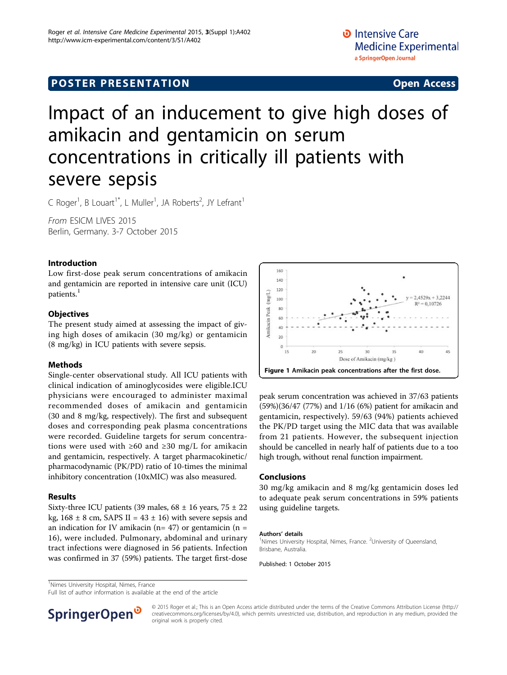## **POSTER PRESENTATION CONSUMING ACCESS**

# Impact of an inducement to give high doses of amikacin and gentamicin on serum concentrations in critically ill patients with severe sepsis

C Roger<sup>1</sup>, B Louart<sup>1\*</sup>, L Muller<sup>1</sup>, JA Roberts<sup>2</sup>, JY Lefrant<sup>1</sup>

From ESICM LIVES 2015 Berlin, Germany. 3-7 October 2015

#### Introduction

Low first-dose peak serum concentrations of amikacin and gentamicin are reported in intensive care unit (ICU) patients.<sup>1</sup>

#### **Objectives**

The present study aimed at assessing the impact of giving high doses of amikacin (30 mg/kg) or gentamicin (8 mg/kg) in ICU patients with severe sepsis.

#### Methods

Single-center observational study. All ICU patients with clinical indication of aminoglycosides were eligible.ICU physicians were encouraged to administer maximal recommended doses of amikacin and gentamicin (30 and 8 mg/kg, respectively). The first and subsequent doses and corresponding peak plasma concentrations were recorded. Guideline targets for serum concentrations were used with  $\geq 60$  and  $\geq 30$  mg/L for amikacin and gentamicin, respectively. A target pharmacokinetic/ pharmacodynamic (PK/PD) ratio of 10-times the minimal inhibitory concentration (10xMIC) was also measured.

#### Results

Sixty-three ICU patients (39 males,  $68 \pm 16$  years,  $75 \pm 22$ kg,  $168 \pm 8$  cm, SAPS II =  $43 \pm 16$ ) with severe sepsis and an indication for IV amikacin ( $n= 47$ ) or gentamicin ( $n =$ 16), were included. Pulmonary, abdominal and urinary tract infections were diagnosed in 56 patients. Infection was confirmed in 37 (59%) patients. The target first-dose



peak serum concentration was achieved in 37/63 patients (59%)(36/47 (77%) and 1/16 (6%) patient for amikacin and gentamicin, respectively). 59/63 (94%) patients achieved the PK/PD target using the MIC data that was available from 21 patients. However, the subsequent injection should be cancelled in nearly half of patients due to a too high trough, without renal function impairment.

#### Conclusions

30 mg/kg amikacin and 8 mg/kg gentamicin doses led to adequate peak serum concentrations in 59% patients using guideline targets.

#### Authors' details <sup>1</sup>

Nimes University Hospital, Nimes, France. <sup>2</sup>University of Queensland Brisbane, Australia.

Published: 1 October 2015

<sup>1</sup>Nimes University Hospital, Nimes, France

Full list of author information is available at the end of the article



© 2015 Roger et al.; This is an Open Access article distributed under the terms of the Creative Commons Attribution License [\(http://](http://creativecommons.org/licenses/by/4.0) [creativecommons.org/licenses/by/4.0](http://creativecommons.org/licenses/by/4.0)), which permits unrestricted use, distribution, and reproduction in any medium, provided the original work is properly cited.